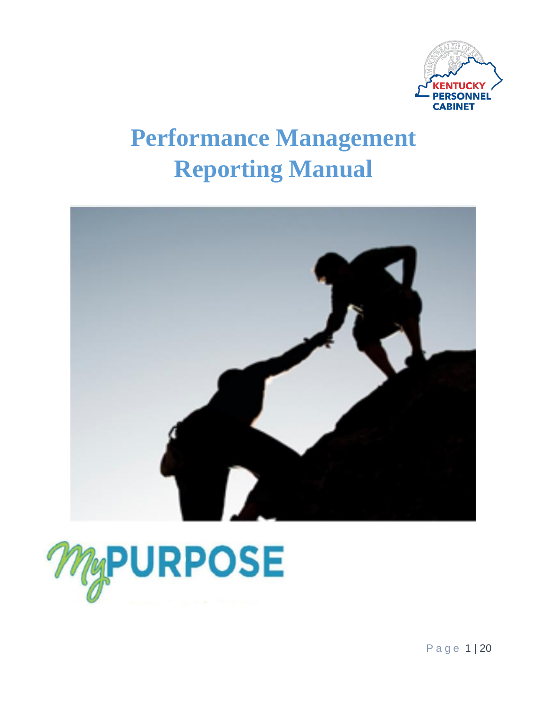

# **Performance Management Reporting Manual**





P a g e 1 | 20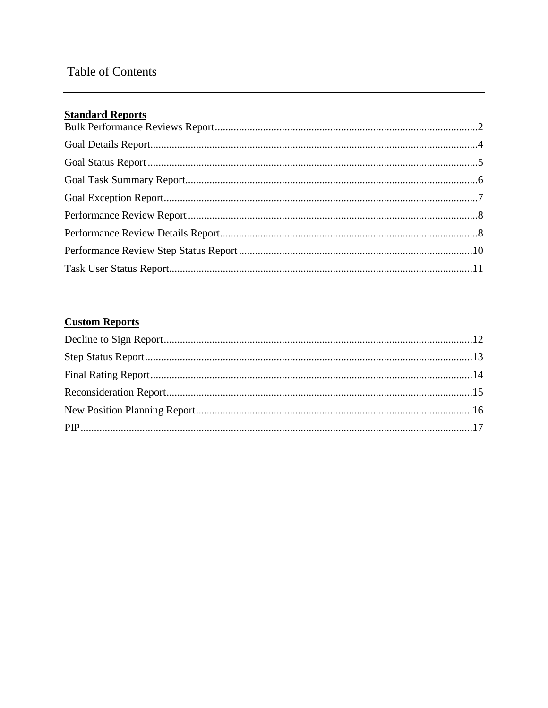## **Table of Contents**

## **Standard Reports**

# **Custom Reports**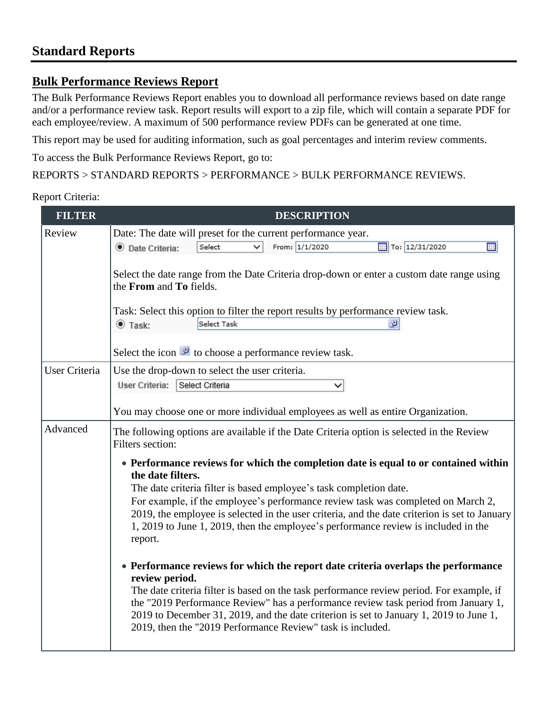## **Standard Reports**

#### <span id="page-2-0"></span>**Bulk Performance Reviews Report**

The Bulk Performance Reviews Report enables you to download all performance reviews based on date range and/or a performance review task. Report results will export to a zip file, which will contain a separate PDF for each employee/review. A maximum of 500 performance review PDFs can be generated at one time.

This report may be used for auditing information, such as goal percentages and interim review comments.

To access the Bulk Performance Reviews Report, go to:

#### REPORTS > STANDARD REPORTS > PERFORMANCE > BULK PERFORMANCE REVIEWS.

| <b>FILTER</b>        | <b>DESCRIPTION</b>                                                                                                                                                                                                                                                                                                                                                                                                                                                   |
|----------------------|----------------------------------------------------------------------------------------------------------------------------------------------------------------------------------------------------------------------------------------------------------------------------------------------------------------------------------------------------------------------------------------------------------------------------------------------------------------------|
| Review               | Date: The date will preset for the current performance year.                                                                                                                                                                                                                                                                                                                                                                                                         |
|                      | From: 1/1/2020<br>To: 12/31/2020<br><b>FREE</b><br><b>O</b> Date Criteria:<br>Select                                                                                                                                                                                                                                                                                                                                                                                 |
|                      | Select the date range from the Date Criteria drop-down or enter a custom date range using<br>the From and To fields.                                                                                                                                                                                                                                                                                                                                                 |
|                      | Task: Select this option to filter the report results by performance review task.                                                                                                                                                                                                                                                                                                                                                                                    |
|                      | Select Task<br>$\bullet$ Task:<br>ø                                                                                                                                                                                                                                                                                                                                                                                                                                  |
|                      | Select the icon $\bullet$ to choose a performance review task.                                                                                                                                                                                                                                                                                                                                                                                                       |
| <b>User Criteria</b> | Use the drop-down to select the user criteria.<br>Select Criteria<br>User Criteria:                                                                                                                                                                                                                                                                                                                                                                                  |
|                      | You may choose one or more individual employees as well as entire Organization.                                                                                                                                                                                                                                                                                                                                                                                      |
| Advanced             | The following options are available if the Date Criteria option is selected in the Review<br>Filters section:                                                                                                                                                                                                                                                                                                                                                        |
|                      | • Performance reviews for which the completion date is equal to or contained within<br>the date filters.<br>The date criteria filter is based employee's task completion date.<br>For example, if the employee's performance review task was completed on March 2,<br>2019, the employee is selected in the user criteria, and the date criterion is set to January<br>1, 2019 to June 1, 2019, then the employee's performance review is included in the<br>report. |
|                      | • Performance reviews for which the report date criteria overlaps the performance<br>review period.<br>The date criteria filter is based on the task performance review period. For example, if<br>the "2019 Performance Review" has a performance review task period from January 1,<br>2019 to December 31, 2019, and the date criterion is set to January 1, 2019 to June 1,<br>2019, then the "2019 Performance Review" task is included.                        |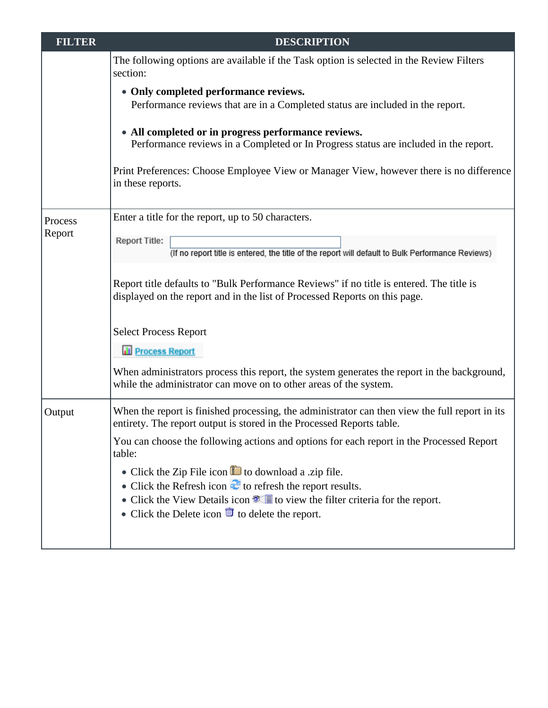| <b>FILTER</b> | <b>DESCRIPTION</b>                                                                                                                                                      |
|---------------|-------------------------------------------------------------------------------------------------------------------------------------------------------------------------|
|               | The following options are available if the Task option is selected in the Review Filters<br>section:                                                                    |
|               | • Only completed performance reviews.<br>Performance reviews that are in a Completed status are included in the report.                                                 |
|               | • All completed or in progress performance reviews.<br>Performance reviews in a Completed or In Progress status are included in the report.                             |
|               | Print Preferences: Choose Employee View or Manager View, however there is no difference<br>in these reports.                                                            |
| Process       | Enter a title for the report, up to 50 characters.                                                                                                                      |
| Report        | <b>Report Title:</b><br>(If no report title is entered, the title of the report will default to Bulk Performance Reviews)                                               |
|               | Report title defaults to "Bulk Performance Reviews" if no title is entered. The title is<br>displayed on the report and in the list of Processed Reports on this page.  |
|               | <b>Select Process Report</b>                                                                                                                                            |
|               | <b>Til Process Report</b>                                                                                                                                               |
|               | When administrators process this report, the system generates the report in the background,<br>while the administrator can move on to other areas of the system.        |
| Output        | When the report is finished processing, the administrator can then view the full report in its<br>entirety. The report output is stored in the Processed Reports table. |
|               | You can choose the following actions and options for each report in the Processed Report<br>table:                                                                      |
|               | • Click the Zip File icon $\blacksquare$ to download a .zip file.                                                                                                       |
|               | • Click the Refresh icon $\mathbb{C}$ to refresh the report results.<br>• Click the View Details icon $\bullet$ $\bullet$ to view the filter criteria for the report.   |
|               | • Click the Delete icon $\overline{m}$ to delete the report.                                                                                                            |
|               |                                                                                                                                                                         |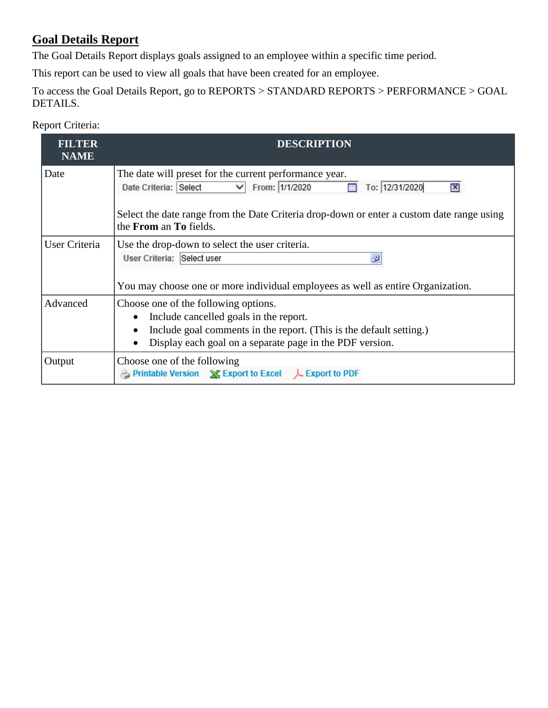## <span id="page-4-0"></span>**Goal Details Report**

The Goal Details Report displays goals assigned to an employee within a specific time period.

This report can be used to view all goals that have been created for an employee.

To access the Goal Details Report, go to REPORTS > STANDARD REPORTS > PERFORMANCE > GOAL DETAILS.

| <b>FILTER</b><br><b>NAME</b> | <b>DESCRIPTION</b>                                                                                                                                                                                                                                                                 |
|------------------------------|------------------------------------------------------------------------------------------------------------------------------------------------------------------------------------------------------------------------------------------------------------------------------------|
| Date                         | The date will preset for the current performance year.<br>From: 1/1/2020<br>$\vee$<br>Date Criteria: Select<br>To: 12/31/2020<br>$\mathbf{x}$<br>Select the date range from the Date Criteria drop-down or enter a custom date range using<br>the <b>From</b> an <b>To</b> fields. |
| User Criteria                | Use the drop-down to select the user criteria.<br>User Criteria: Select user<br>۰Ø<br>You may choose one or more individual employees as well as entire Organization.                                                                                                              |
| Advanced                     | Choose one of the following options.<br>Include cancelled goals in the report.<br>Include goal comments in the report. (This is the default setting.)<br>Display each goal on a separate page in the PDF version.<br>$\bullet$                                                     |
| Output                       | Choose one of the following<br>Printable Version X Export to Excel<br>$\perp$ Export to PDF                                                                                                                                                                                        |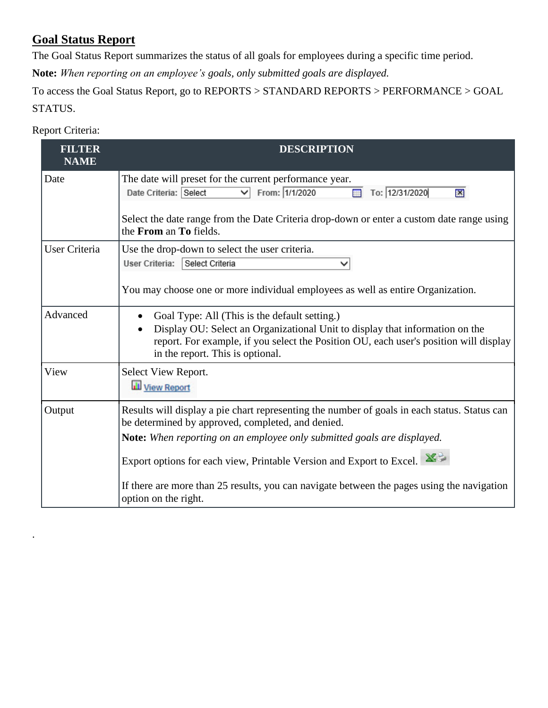## <span id="page-5-0"></span>**Goal Status Report**

The Goal Status Report summarizes the status of all goals for employees during a specific time period.

**Note:** *When reporting on an employee's goals, only submitted goals are displayed.*

To access the Goal Status Report, go to REPORTS > STANDARD REPORTS > PERFORMANCE > GOAL STATUS.

### **FILTER DESCRIPTION NAME** Date The date will preset for the current performance year.  $\overline{m}$  To: 12/31/2020 Date Criteria: Select  $\overline{\vee}$  From: 1/1/2020  $\overline{\mathbf{x}}$ Select the date range from the Date Criteria drop-down or enter a custom date range using the **From** an **To** fields. User Criteria Use the drop-down to select the user criteria. User Criteria: Select Criteria  $\overline{\mathsf{v}}$ You may choose one or more individual employees as well as entire Organization. Advanced **Coal Type:** All (This is the default setting.) Display OU: Select an Organizational Unit to display that information on the report. For example, if you select the Position OU, each user's position will display in the report. This is optional. View Select View Report. View Report Output Results will display a pie chart representing the number of goals in each status. Status can be determined by approved, completed, and denied. **Note:** *When reporting on an employee only submitted goals are displayed.*  Export options for each view, Printable Version and Export to Excel. X⇒ If there are more than 25 results, you can navigate between the pages using the navigation option on the right.

#### Report Criteria:

.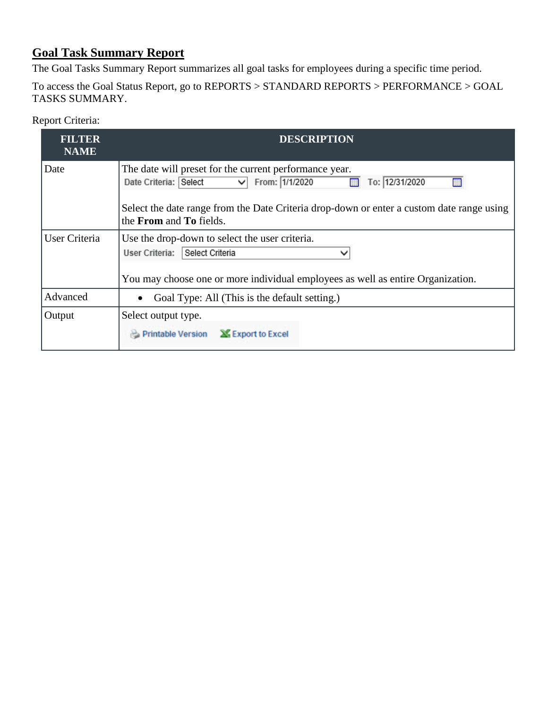# <span id="page-6-0"></span>**Goal Task Summary Report**

The Goal Tasks Summary Report summarizes all goal tasks for employees during a specific time period.

| To access the Goal Status Report, go to REPORTS > STANDARD REPORTS > PERFORMANCE > GOAL |  |
|-----------------------------------------------------------------------------------------|--|
| TASKS SUMMARY.                                                                          |  |

| <b>FILTER</b><br><b>NAME</b> | <b>DESCRIPTION</b>                                                                                                                                                                                                                                                         |
|------------------------------|----------------------------------------------------------------------------------------------------------------------------------------------------------------------------------------------------------------------------------------------------------------------------|
| Date                         | The date will preset for the current performance year.<br>From: 1/1/2020<br>Date Criteria: Select<br>$\vee$<br>To: 12/31/2020<br>HH.<br>Select the date range from the Date Criteria drop-down or enter a custom date range using<br>the <b>From</b> and <b>To</b> fields. |
| User Criteria                | Use the drop-down to select the user criteria.<br>User Criteria:<br>Select Criteria<br>$\check{ }$<br>You may choose one or more individual employees as well as entire Organization.                                                                                      |
| Advanced                     | Goal Type: All (This is the default setting.)                                                                                                                                                                                                                              |
| Output                       | Select output type.<br>Printable Version & Export to Excel                                                                                                                                                                                                                 |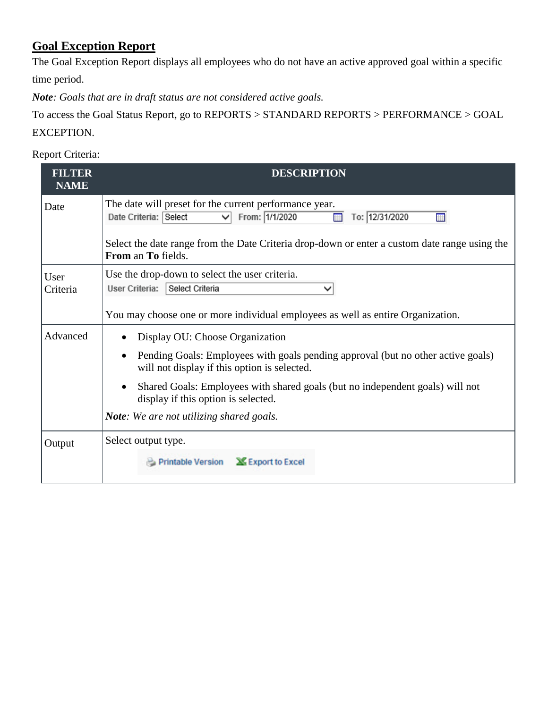# **Goal Exception Report**

The Goal Exception Report displays all employees who do not have an active approved goal within a specific time period.

*Note: Goals that are in draft status are not considered active goals.*

To access the Goal Status Report, go to REPORTS > STANDARD REPORTS > PERFORMANCE > GOAL EXCEPTION.

| <b>FILTER</b><br><b>NAME</b> | <b>DESCRIPTION</b>                                                                                                                                                                                                                                                                                                                                                                    |
|------------------------------|---------------------------------------------------------------------------------------------------------------------------------------------------------------------------------------------------------------------------------------------------------------------------------------------------------------------------------------------------------------------------------------|
| Date                         | The date will preset for the current performance year.<br>From: 1/1/2020<br>Date Criteria: Select<br>To: 12/31/2020<br>$\checkmark$                                                                                                                                                                                                                                                   |
|                              | Select the date range from the Date Criteria drop-down or enter a custom date range using the<br>From an To fields.                                                                                                                                                                                                                                                                   |
| User<br>Criteria             | Use the drop-down to select the user criteria.<br>User Criteria: Select Criteria<br>You may choose one or more individual employees as well as entire Organization.                                                                                                                                                                                                                   |
| Advanced                     | Display OU: Choose Organization<br>$\bullet$<br>Pending Goals: Employees with goals pending approval (but no other active goals)<br>$\bullet$<br>will not display if this option is selected.<br>Shared Goals: Employees with shared goals (but no independent goals) will not<br>$\bullet$<br>display if this option is selected.<br><b>Note:</b> We are not utilizing shared goals. |
| Output                       | Select output type.<br>Export to Excel<br>Printable Version                                                                                                                                                                                                                                                                                                                           |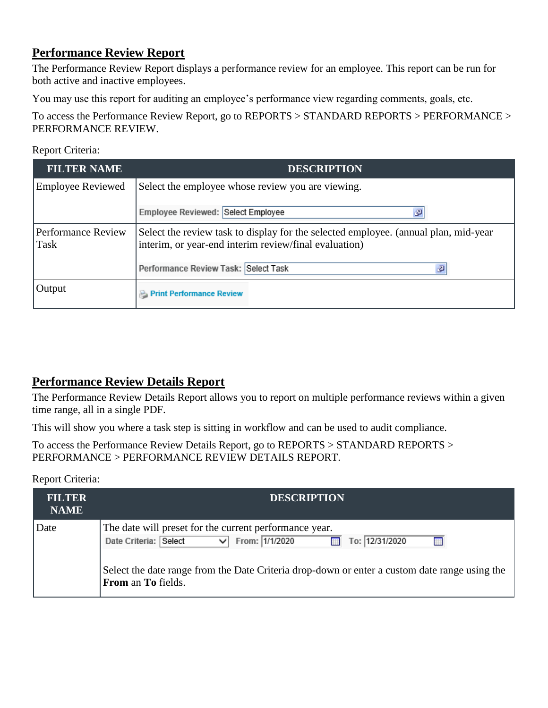## <span id="page-8-0"></span>**Performance Review Report**

The Performance Review Report displays a performance review for an employee. This report can be run for both active and inactive employees.

You may use this report for auditing an employee's performance view regarding comments, goals, etc.

To access the Performance Review Report, go to REPORTS > STANDARD REPORTS > PERFORMANCE > PERFORMANCE REVIEW.

#### Report Criteria:

| <b>FILTER NAME</b>                                                                                                                                                                | <b>DESCRIPTION</b>                                |
|-----------------------------------------------------------------------------------------------------------------------------------------------------------------------------------|---------------------------------------------------|
| <b>Employee Reviewed</b>                                                                                                                                                          | Select the employee whose review you are viewing. |
|                                                                                                                                                                                   | Employee Reviewed: Select Employee<br>Đ           |
| Select the review task to display for the selected employee. (annual plan, mid-year<br><b>Performance Review</b><br>interim, or year-end interim review/final evaluation)<br>Task |                                                   |
|                                                                                                                                                                                   | Performance Review Task: Select Task<br>ø         |
| Output                                                                                                                                                                            | <b>Print Performance Review</b>                   |

## <span id="page-8-1"></span>**Performance Review Details Report**

The Performance Review Details Report allows you to report on multiple performance reviews within a given time range, all in a single PDF.

This will show you where a task step is sitting in workflow and can be used to audit compliance.

To access the Performance Review Details Report, go to REPORTS > STANDARD REPORTS > PERFORMANCE > PERFORMANCE REVIEW DETAILS REPORT.

| <b>FILTER</b><br><b>NAME</b> | <b>DESCRIPTION</b>                                                                                                                                                                                                                                                     |
|------------------------------|------------------------------------------------------------------------------------------------------------------------------------------------------------------------------------------------------------------------------------------------------------------------|
| Date                         | The date will preset for the current performance year.<br>From: 1/1/2020<br>Date Criteria: Select<br>To: 12/31/2020<br>◡<br><b>STATE</b><br>Select the date range from the Date Criteria drop-down or enter a custom date range using the<br><b>From an To fields.</b> |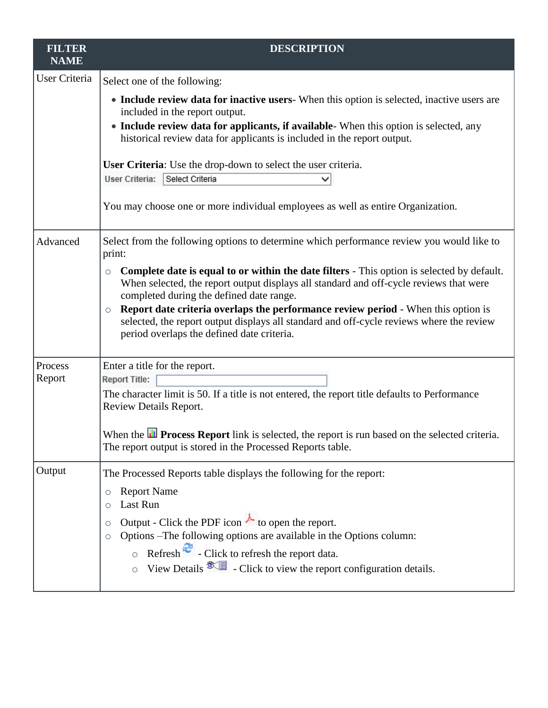| <b>FILTER</b><br><b>NAME</b> | <b>DESCRIPTION</b>                                                                                                                                                                                                                                                                                                                                                                                                                                                                           |
|------------------------------|----------------------------------------------------------------------------------------------------------------------------------------------------------------------------------------------------------------------------------------------------------------------------------------------------------------------------------------------------------------------------------------------------------------------------------------------------------------------------------------------|
| User Criteria                | Select one of the following:                                                                                                                                                                                                                                                                                                                                                                                                                                                                 |
|                              | • Include review data for inactive users-When this option is selected, inactive users are<br>included in the report output.<br>• Include review data for applicants, if available- When this option is selected, any                                                                                                                                                                                                                                                                         |
|                              | historical review data for applicants is included in the report output.                                                                                                                                                                                                                                                                                                                                                                                                                      |
|                              | <b>User Criteria:</b> Use the drop-down to select the user criteria.<br>Select Criteria<br>User Criteria:                                                                                                                                                                                                                                                                                                                                                                                    |
|                              | You may choose one or more individual employees as well as entire Organization.                                                                                                                                                                                                                                                                                                                                                                                                              |
| Advanced                     | Select from the following options to determine which performance review you would like to<br>print:                                                                                                                                                                                                                                                                                                                                                                                          |
|                              | Complete date is equal to or within the date filters - This option is selected by default.<br>$\circ$<br>When selected, the report output displays all standard and off-cycle reviews that were<br>completed during the defined date range.<br><b>Report date criteria overlaps the performance review period - When this option is</b><br>$\circ$<br>selected, the report output displays all standard and off-cycle reviews where the review<br>period overlaps the defined date criteria. |
| Process<br>Report            | Enter a title for the report.<br><b>Report Title:</b><br>The character limit is 50. If a title is not entered, the report title defaults to Performance<br>Review Details Report.                                                                                                                                                                                                                                                                                                            |
|                              | When the <b>ID</b> Process Report link is selected, the report is run based on the selected criteria.<br>The report output is stored in the Processed Reports table.                                                                                                                                                                                                                                                                                                                         |
| Output                       | The Processed Reports table displays the following for the report:                                                                                                                                                                                                                                                                                                                                                                                                                           |
|                              | <b>Report Name</b><br>Last Run                                                                                                                                                                                                                                                                                                                                                                                                                                                               |
|                              | Output - Click the PDF icon $\uparrow$ to open the report.<br>Options -The following options are available in the Options column:<br>$\circ$<br>$\circ$ Refresh $\ddot{\bullet}$ - Click to refresh the report data.<br>$\circ$ View Details $\mathcal{L}$ - Click to view the report configuration details.                                                                                                                                                                                 |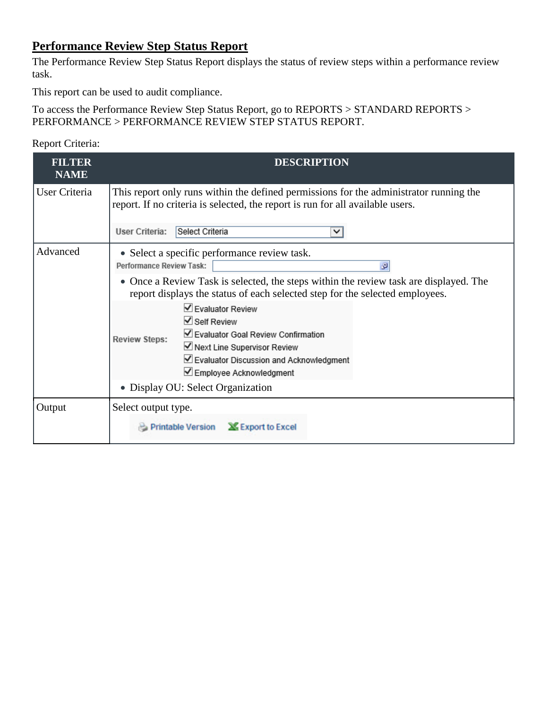## <span id="page-10-0"></span>**Performance Review Step Status Report**

The Performance Review Step Status Report displays the status of review steps within a performance review task.

This report can be used to audit compliance.

To access the Performance Review Step Status Report, go to REPORTS > STANDARD REPORTS > PERFORMANCE > PERFORMANCE REVIEW STEP STATUS REPORT.

| <b>FILTER</b><br><b>NAME</b> | <b>DESCRIPTION</b>                                                                                                                                                                                              |
|------------------------------|-----------------------------------------------------------------------------------------------------------------------------------------------------------------------------------------------------------------|
| User Criteria                | This report only runs within the defined permissions for the administrator running the<br>report. If no criteria is selected, the report is run for all available users.                                        |
|                              | Select Criteria<br>User Criteria:<br>◡                                                                                                                                                                          |
| Advanced                     | • Select a specific performance review task.<br>Performance Review Task:<br>ø                                                                                                                                   |
|                              | • Once a Review Task is selected, the steps within the review task are displayed. The<br>report displays the status of each selected step for the selected employees.                                           |
|                              | ✔ Evaluator Review<br>$\vee$ Self Review<br>Evaluator Goal Review Confirmation<br><b>Review Steps:</b><br>■ Next Line Supervisor Review<br>☑ Evaluator Discussion and Acknowledgment<br>Employee Acknowledgment |
|                              | • Display OU: Select Organization                                                                                                                                                                               |
| Output                       | Select output type.<br><b>X</b> Export to Excel<br>Printable Version                                                                                                                                            |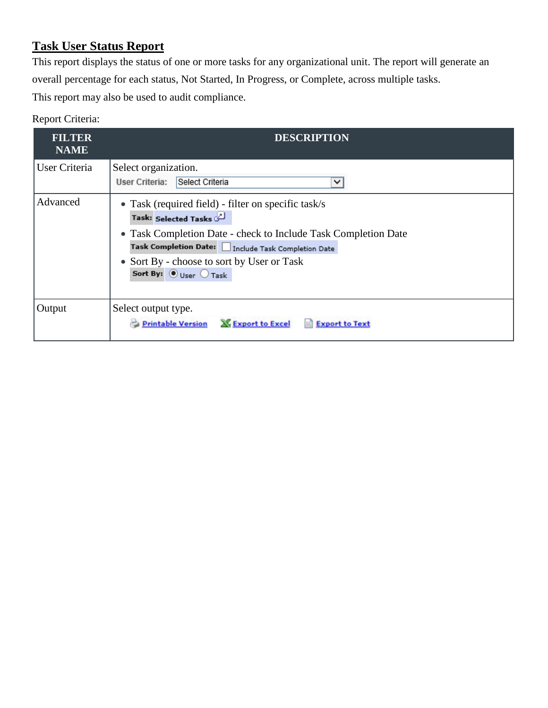# <span id="page-11-0"></span>**Task User Status Report**

This report displays the status of one or more tasks for any organizational unit. The report will generate an overall percentage for each status, Not Started, In Progress, or Complete, across multiple tasks. This report may also be used to audit compliance.

| <b>FILTER</b><br><b>NAME</b> | <b>DESCRIPTION</b>                                                                                                                                                                                                                                                                                             |
|------------------------------|----------------------------------------------------------------------------------------------------------------------------------------------------------------------------------------------------------------------------------------------------------------------------------------------------------------|
| User Criteria                | Select organization.<br>Select Criteria<br>User Criteria:<br>◡                                                                                                                                                                                                                                                 |
| Advanced                     | • Task (required field) - filter on specific task/s<br>Task: Selected Tasks<br>• Task Completion Date - check to Include Task Completion Date<br>Task Completion Date:   Include Task Completion Date<br>• Sort By - choose to sort by User or Task<br>Sort By: $\circledbullet$ User $\circlearrowright$ Task |
| Output                       | Select output type.<br><b>X</b> Export to Excel<br><b>Printable Version</b><br><b>Export to Text</b>                                                                                                                                                                                                           |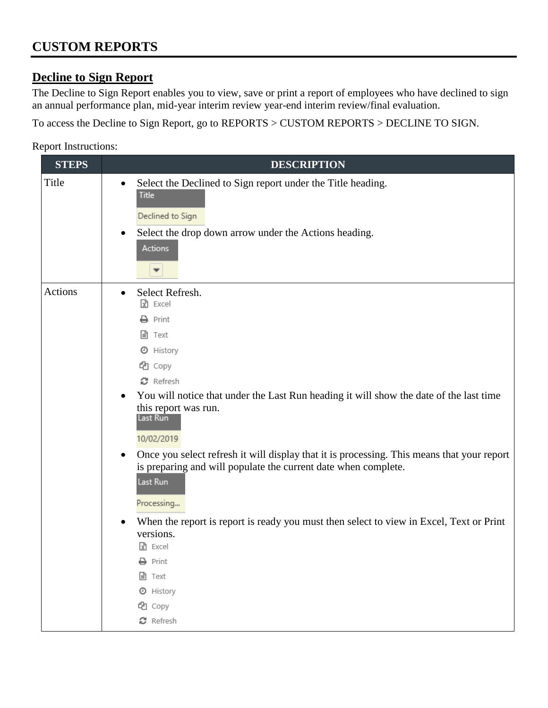# **Decline to Sign Report**

The Decline to Sign Report enables you to view, save or print a report of employees who have declined to sign an annual performance plan, mid-year interim review year-end interim review/final evaluation.

To access the Decline to Sign Report, go to REPORTS > CUSTOM REPORTS > DECLINE TO SIGN.

| <b>STEPS</b> | <b>DESCRIPTION</b>                                                                                                                                                                                                                                                                                                                                                                                                                                                                                                                                                                                                                                                                                                          |
|--------------|-----------------------------------------------------------------------------------------------------------------------------------------------------------------------------------------------------------------------------------------------------------------------------------------------------------------------------------------------------------------------------------------------------------------------------------------------------------------------------------------------------------------------------------------------------------------------------------------------------------------------------------------------------------------------------------------------------------------------------|
| Title        | Select the Declined to Sign report under the Title heading.<br>$\bullet$<br><b>Title</b><br>Declined to Sign<br>Select the drop down arrow under the Actions heading.<br>$\bullet$<br>Actions                                                                                                                                                                                                                                                                                                                                                                                                                                                                                                                               |
| Actions      | Select Refresh.<br>$\bullet$<br>R Excel<br>$\rightarrow$ Print<br>■ Text<br><b>4</b> History<br>eg Copy<br>$\boldsymbol{\mathcal{C}}$ Refresh<br>You will notice that under the Last Run heading it will show the date of the last time<br>$\bullet$<br>this report was run.<br>Last Run<br>10/02/2019<br>Once you select refresh it will display that it is processing. This means that your report<br>$\bullet$<br>is preparing and will populate the current date when complete.<br>Last Run<br>Processing<br>When the report is report is ready you must then select to view in Excel, Text or Print<br>versions.<br>R Excel<br>$\rightarrow$ Print<br><b>■</b> Text<br><b>O</b> History<br>eg Copy<br><b>C</b> Refresh |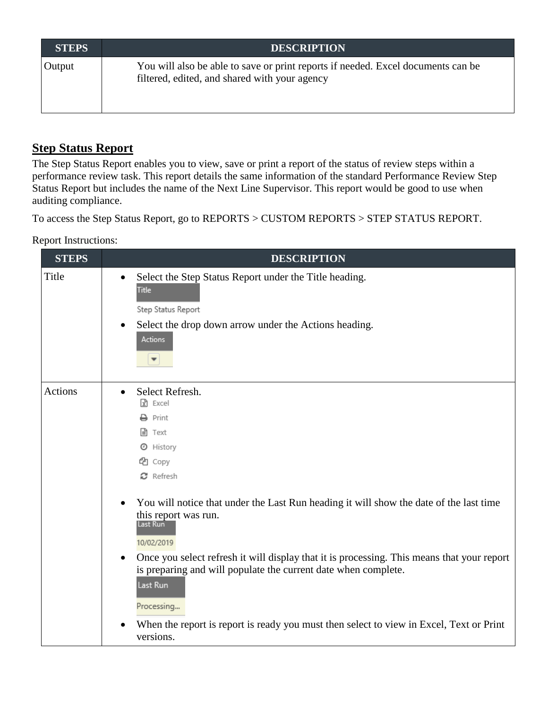| <b>STEPS</b> | <b>DESCRIPTION</b>                                                                                                                |
|--------------|-----------------------------------------------------------------------------------------------------------------------------------|
| Output       | You will also be able to save or print reports if needed. Excel documents can be<br>filtered, edited, and shared with your agency |

## **Step Status Report**

The Step Status Report enables you to view, save or print a report of the status of review steps within a performance review task. This report details the same information of the standard Performance Review Step Status Report but includes the name of the Next Line Supervisor. This report would be good to use when auditing compliance.

To access the Step Status Report, go to REPORTS > CUSTOM REPORTS > STEP STATUS REPORT.

| <b>STEPS</b> | <b>DESCRIPTION</b>                                                                                                                                                                                                                                                                                                                                                                                                                              |
|--------------|-------------------------------------------------------------------------------------------------------------------------------------------------------------------------------------------------------------------------------------------------------------------------------------------------------------------------------------------------------------------------------------------------------------------------------------------------|
| Title        | Select the Step Status Report under the Title heading.<br>$\bullet$<br>Title<br>Step Status Report<br>Select the drop down arrow under the Actions heading.<br>$\bullet$<br><b>Actions</b><br>$\overline{\phantom{a}}$                                                                                                                                                                                                                          |
| Actions      | Select Refresh.<br>R Excel<br>$\rightarrow$ Print<br>■ Text<br><b>O</b> History<br>topy<br>$\boldsymbol{\mathcal{C}}$ Refresh                                                                                                                                                                                                                                                                                                                   |
|              | You will notice that under the Last Run heading it will show the date of the last time<br>this report was run.<br>Last Run<br>10/02/2019<br>Once you select refresh it will display that it is processing. This means that your report<br>is preparing and will populate the current date when complete.<br>Last Run<br>Processing<br>When the report is report is ready you must then select to view in Excel, Text or Print<br>٠<br>versions. |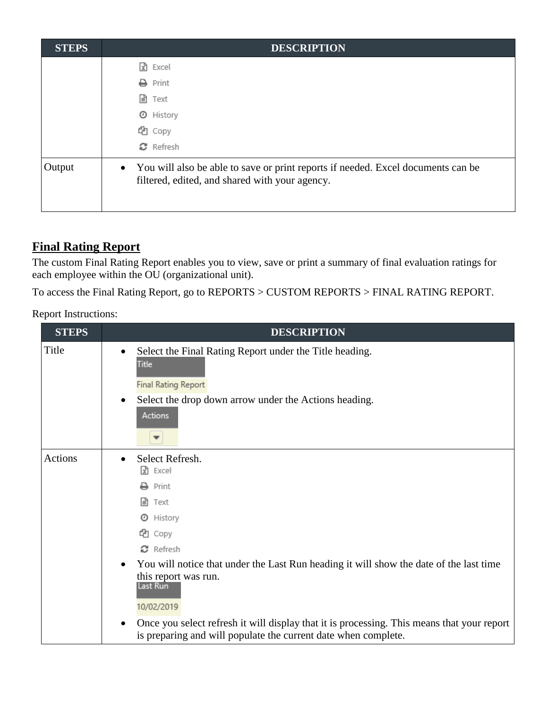| <b>STEPS</b> | <b>DESCRIPTION</b>                                                                                                                              |
|--------------|-------------------------------------------------------------------------------------------------------------------------------------------------|
|              | Excel<br>١x٦                                                                                                                                    |
|              | Print<br>₽                                                                                                                                      |
|              | 目<br>Text                                                                                                                                       |
|              | History<br>O                                                                                                                                    |
|              | the Copy                                                                                                                                        |
|              | $\mathbf{C}$ Refresh                                                                                                                            |
| Output       | You will also be able to save or print reports if needed. Excel documents can be<br>$\bullet$<br>filtered, edited, and shared with your agency. |

## **Final Rating Report**

The custom Final Rating Report enables you to view, save or print a summary of final evaluation ratings for each employee within the OU (organizational unit).

To access the Final Rating Report, go to REPORTS > CUSTOM REPORTS > FINAL RATING REPORT.

| <b>STEPS</b>   | <b>DESCRIPTION</b>                                                                                                                                                                                                                                                                                                                                                                                                         |
|----------------|----------------------------------------------------------------------------------------------------------------------------------------------------------------------------------------------------------------------------------------------------------------------------------------------------------------------------------------------------------------------------------------------------------------------------|
| Title          | Select the Final Rating Report under the Title heading.<br>$\bullet$<br><b>Title</b><br>Final Rating Report<br>Select the drop down arrow under the Actions heading.<br>$\bullet$<br><b>Actions</b>                                                                                                                                                                                                                        |
| <b>Actions</b> | Select Refresh.<br>R Excel<br>Print<br>目<br>Text<br>History<br>⊙<br>ඇ<br>Copy<br>$\Omega$ Refresh<br>You will notice that under the Last Run heading it will show the date of the last time<br>this report was run.<br>Last Run<br>10/02/2019<br>Once you select refresh it will display that it is processing. This means that your report<br>$\bullet$<br>is preparing and will populate the current date when complete. |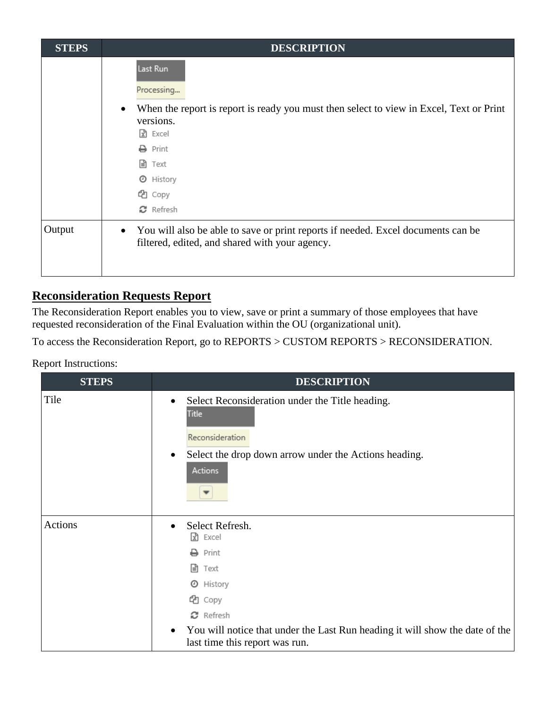| <b>STEPS</b> | <b>DESCRIPTION</b>                                                                                                                                                                                                                                            |
|--------------|---------------------------------------------------------------------------------------------------------------------------------------------------------------------------------------------------------------------------------------------------------------|
|              | Last Run<br>Processing<br>When the report is report is ready you must then select to view in Excel, Text or Print<br>versions.<br>$\boxed{\overline{x}}$ Excel<br>Print<br>≏<br>l≞ì<br>Text<br>History<br>⊙<br>the Copy<br>$\boldsymbol{\mathcal{C}}$ Refresh |
| Output       | You will also be able to save or print reports if needed. Excel documents can be<br>filtered, edited, and shared with your agency.                                                                                                                            |

## **Reconsideration Requests Report**

The Reconsideration Report enables you to view, save or print a summary of those employees that have requested reconsideration of the Final Evaluation within the OU (organizational unit).

To access the Reconsideration Report, go to REPORTS > CUSTOM REPORTS > RECONSIDERATION.

| <b>STEPS</b> | <b>DESCRIPTION</b>                                                                                                                                                                                                                                  |
|--------------|-----------------------------------------------------------------------------------------------------------------------------------------------------------------------------------------------------------------------------------------------------|
| Tile         | Select Reconsideration under the Title heading.<br>$\bullet$<br><b>Title</b><br>Reconsideration<br>Select the drop down arrow under the Actions heading.<br>$\bullet$<br>Actions                                                                    |
| Actions      | Select Refresh.<br>Excel<br>k<br>Print<br>目<br>Text<br>History<br>O<br>eg Copy<br>$\boldsymbol{\mathcal{C}}$ Refresh<br>You will notice that under the Last Run heading it will show the date of the<br>$\bullet$<br>last time this report was run. |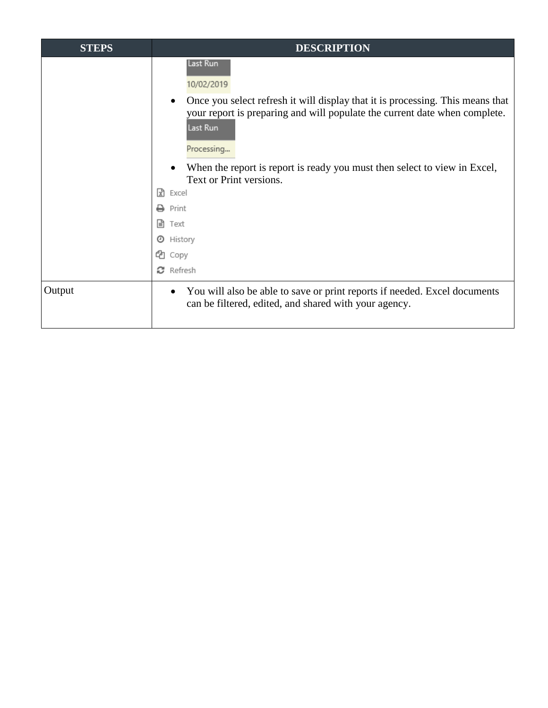| <b>STEPS</b> | <b>DESCRIPTION</b>                                                                                                                                                                                                                                                                                                                    |
|--------------|---------------------------------------------------------------------------------------------------------------------------------------------------------------------------------------------------------------------------------------------------------------------------------------------------------------------------------------|
|              | Last Run<br>10/02/2019<br>Once you select refresh it will display that it is processing. This means that<br>$\bullet$<br>your report is preparing and will populate the current date when complete.<br>Last Run<br>Processing<br>When the report is report is ready you must then select to view in Excel,<br>Text or Print versions. |
|              | ١x٦<br>Excel                                                                                                                                                                                                                                                                                                                          |
|              | Print                                                                                                                                                                                                                                                                                                                                 |
|              | l≞ì<br>Text                                                                                                                                                                                                                                                                                                                           |
|              | ⊙<br>History                                                                                                                                                                                                                                                                                                                          |
|              | ረካ<br>Copy                                                                                                                                                                                                                                                                                                                            |
|              | Refresh                                                                                                                                                                                                                                                                                                                               |
| Output       | You will also be able to save or print reports if needed. Excel documents<br>$\bullet$<br>can be filtered, edited, and shared with your agency.                                                                                                                                                                                       |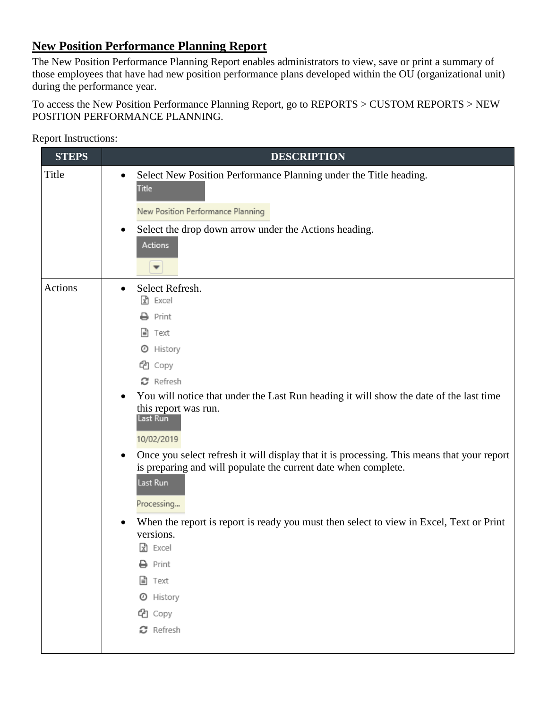# **New Position Performance Planning Report**

The New Position Performance Planning Report enables administrators to view, save or print a summary of those employees that have had new position performance plans developed within the OU (organizational unit) during the performance year.

To access the New Position Performance Planning Report, go to REPORTS > CUSTOM REPORTS > NEW POSITION PERFORMANCE PLANNING.

| <b>STEPS</b> | <b>DESCRIPTION</b>                                                                                                                                                                                                                                                                                                                                                                                                                                                                                                                                                                                                                                                                                                                              |
|--------------|-------------------------------------------------------------------------------------------------------------------------------------------------------------------------------------------------------------------------------------------------------------------------------------------------------------------------------------------------------------------------------------------------------------------------------------------------------------------------------------------------------------------------------------------------------------------------------------------------------------------------------------------------------------------------------------------------------------------------------------------------|
| Title        | Select New Position Performance Planning under the Title heading.<br>$\bullet$<br><b>Title</b><br>New Position Performance Planning                                                                                                                                                                                                                                                                                                                                                                                                                                                                                                                                                                                                             |
|              | Select the drop down arrow under the Actions heading.<br>$\bullet$                                                                                                                                                                                                                                                                                                                                                                                                                                                                                                                                                                                                                                                                              |
|              | Actions<br>▼                                                                                                                                                                                                                                                                                                                                                                                                                                                                                                                                                                                                                                                                                                                                    |
| Actions      | Select Refresh.<br>$\bullet$<br>$\mathbf{\mathbb{R}}$ Excel<br>Print<br>Text<br>ا≣ا<br>History<br>O<br>Copy<br>ඇ<br>$\boldsymbol{\mathcal{C}}$ Refresh<br>You will notice that under the Last Run heading it will show the date of the last time<br>$\bullet$<br>this report was run.<br>Last Run<br>10/02/2019<br>Once you select refresh it will display that it is processing. This means that your report<br>$\bullet$<br>is preparing and will populate the current date when complete.<br>Last Run<br>Processing<br>When the report is report is ready you must then select to view in Excel, Text or Print<br>$\bullet$<br>versions.<br>$\sqrt{x}$ Excel<br>$\ominus$ Print<br><b>■</b> Text<br><b>O</b> History<br>eg Copy<br>C Refresh |
|              |                                                                                                                                                                                                                                                                                                                                                                                                                                                                                                                                                                                                                                                                                                                                                 |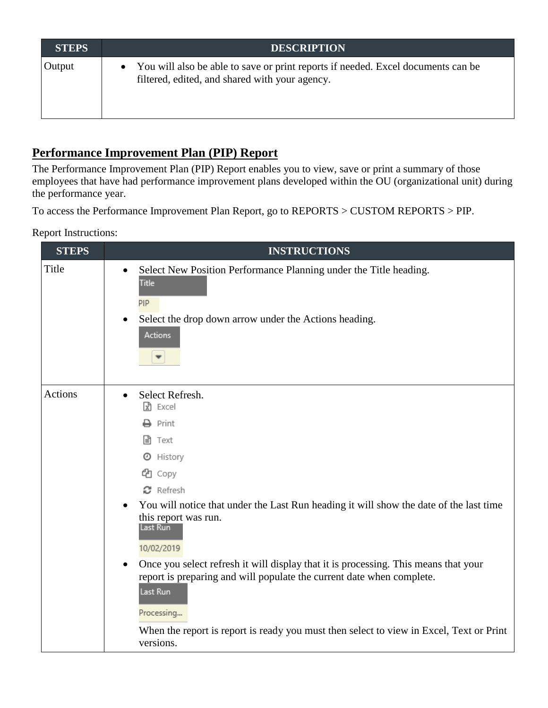| <b>STEPS</b> | <b>DESCRIPTION</b>                                                                                                                 |
|--------------|------------------------------------------------------------------------------------------------------------------------------------|
| Output       | You will also be able to save or print reports if needed. Excel documents can be<br>filtered, edited, and shared with your agency. |

## **Performance Improvement Plan (PIP) Report**

The Performance Improvement Plan (PIP) Report enables you to view, save or print a summary of those employees that have had performance improvement plans developed within the OU (organizational unit) during the performance year.

To access the Performance Improvement Plan Report, go to REPORTS > CUSTOM REPORTS > PIP.

| <b>STEPS</b> | <b>INSTRUCTIONS</b>                                                                                                                                                                                                                                                                                                                                                                                                                                                                                                                                                                                                         |
|--------------|-----------------------------------------------------------------------------------------------------------------------------------------------------------------------------------------------------------------------------------------------------------------------------------------------------------------------------------------------------------------------------------------------------------------------------------------------------------------------------------------------------------------------------------------------------------------------------------------------------------------------------|
| Title        | Select New Position Performance Planning under the Title heading.<br>$\bullet$<br><b>Title</b><br>PIP<br>Select the drop down arrow under the Actions heading.<br>$\bullet$<br><b>Actions</b>                                                                                                                                                                                                                                                                                                                                                                                                                               |
| Actions      | Select Refresh.<br>$\bullet$<br>$\mathbf{\mathbb{R}}$ Excel<br>$\rightarrow$ Print<br><b>■</b> Text<br><b>O</b> History<br>topy<br><b>C</b> Refresh<br>You will notice that under the Last Run heading it will show the date of the last time<br>$\bullet$<br>this report was run.<br>Last Run<br>10/02/2019<br>Once you select refresh it will display that it is processing. This means that your<br>$\bullet$<br>report is preparing and will populate the current date when complete.<br>Last Run<br>Processing<br>When the report is report is ready you must then select to view in Excel, Text or Print<br>versions. |